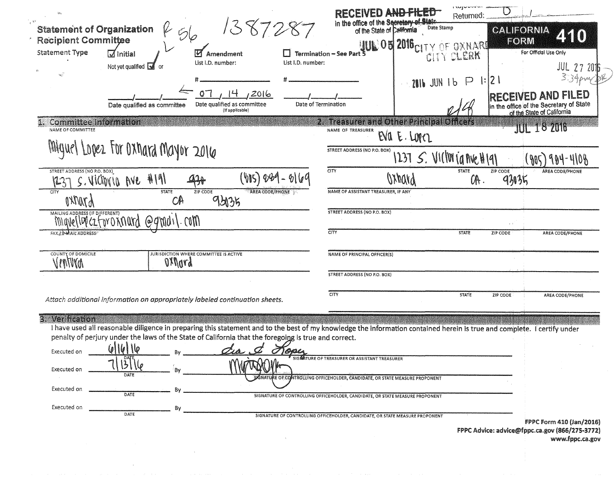| 2. Treasurer and Other Principal Officers<br><b>Committee Information</b><br><b>JUL 18 2016</b><br>NAME OF COMMITTEE<br>NAME OF TREASURER<br>EVA E. LOPEZ<br>Miguel Lopez For Oxhard Mayor 2016<br>STREET ADDRESS (NO P.O. BOX)<br>1237 $S.$ VI(IVV ja Ave H191<br><b>CITY</b><br>STREET ADDRESS (NO P.O. BOX)<br><b>STATE</b><br>ZIP CODE<br>AREA CODE/PHONE<br>(VIS) 229<br>419<br>Wypury<br><u>aza</u><br>93035<br>OR.<br>S. VICTOVIO AVE<br>1237<br><b>STATE</b><br>AREA CODE/PHONE<br>NAME OF ASSISTANT TREASURER, IF ANY<br>ZIP CODE<br>CITY<br>93135<br><b>AJMKY</b><br>CA<br><b>STREET ADDRESS (NO P.O. BOX)</b><br>MAILING ADDRESS (IF DIFFERENT)<br>$\cdot$ COM $\eta$<br>mavellerczforoxnard<br>$\omega$ dmo<br>CITY<br>FAX A MAIL ADDRESS<br><b>STATE</b><br>ZIP CODE<br>AREA CODE/PHONE<br>COUNTY OF DOMICILE<br>JURISDICTION WHERE COMMITTEE IS ACTIVE<br>NAME OF PRINCIPAL OFFICER(S)<br>VINVVO<br>axonso<br>STREET ADDRESS (NO P.O. BOX)<br><b>CITY</b><br><b>STATE</b><br>ZIP CODE<br>AREA CODE/PHONE<br>Attach additional information on appropriately labeled continuation sheets.<br>3. Verification<br>I have used all reasonable diligence in preparing this statement and to the best of my knowledge the information contained herein is true and complete. I certify under<br>penalty of perjury under the laws of the State of California that the foregoing is true and correct.<br><u>6116116</u><br>$Z_{\ell\mathbf{A}}$ , $\mathcal{C}$<br>Topy<br>Executed on<br>SIGNATURE OF TREASURER OR ASSISTANT TREASURER<br>Executed on<br>DATE<br>SANATURE OF CONTROLLING OFFICEHOLDER, CANDIDATE, OR STATE MEASURE PROPONENT<br>Executed on<br>DATE<br>SIGNATURE OF CONTROLLING OFFICEHOLDER, CANDIDATE, OR STATE MEASURE PROPONENT | Executed on<br>Βv<br>DATE<br>SIGNATURE OF CONTROLLING OFFICEHOLDER, CANDIDATE, OR STATE MEASURE PROPONENT<br><b>FPPC Form 410 (Jan/2016)</b> | <b>Statement of Organization</b><br><b>Recipient Committee</b><br><b>Statement Type</b><br><b>M</b> Initial | 56<br>List I.D. number:<br>Not yet qualified $\sqrt{\phantom{a}}$<br>-or<br>Date qualified as committee | 1387287<br>Amendment<br>List I.D. number:<br>,2016<br>Date qualified as committee<br>(If applicable) | Termination - See Part<br>Date of Termination | in the office of the Secretary of State<br>Date Stamp<br>of the State of California<br><b>JUL 05 2016 CITY OF OXNARD</b><br>2016 JUN 16 | r sugus<br>Retumed:<br>CITY CLERK<br>$ \cdot 2 $<br>$\mathsf{P}$ | <b>CALIFORNIA</b><br>4510<br>FORM<br>For Official Use Only<br><b>JUL 27 2016</b><br>3.34 <sub>P</sub><br><b>IRECEIVED AND FILED</b><br>in the office of the Secretary of State<br>of the State of California |
|------------------------------------------------------------------------------------------------------------------------------------------------------------------------------------------------------------------------------------------------------------------------------------------------------------------------------------------------------------------------------------------------------------------------------------------------------------------------------------------------------------------------------------------------------------------------------------------------------------------------------------------------------------------------------------------------------------------------------------------------------------------------------------------------------------------------------------------------------------------------------------------------------------------------------------------------------------------------------------------------------------------------------------------------------------------------------------------------------------------------------------------------------------------------------------------------------------------------------------------------------------------------------------------------------------------------------------------------------------------------------------------------------------------------------------------------------------------------------------------------------------------------------------------------------------------------------------------------------------------------------------------------------------------------------------------------------------------------------------------------------------|----------------------------------------------------------------------------------------------------------------------------------------------|-------------------------------------------------------------------------------------------------------------|---------------------------------------------------------------------------------------------------------|------------------------------------------------------------------------------------------------------|-----------------------------------------------|-----------------------------------------------------------------------------------------------------------------------------------------|------------------------------------------------------------------|--------------------------------------------------------------------------------------------------------------------------------------------------------------------------------------------------------------|
|                                                                                                                                                                                                                                                                                                                                                                                                                                                                                                                                                                                                                                                                                                                                                                                                                                                                                                                                                                                                                                                                                                                                                                                                                                                                                                                                                                                                                                                                                                                                                                                                                                                                                                                                                            |                                                                                                                                              |                                                                                                             |                                                                                                         |                                                                                                      |                                               |                                                                                                                                         |                                                                  |                                                                                                                                                                                                              |
|                                                                                                                                                                                                                                                                                                                                                                                                                                                                                                                                                                                                                                                                                                                                                                                                                                                                                                                                                                                                                                                                                                                                                                                                                                                                                                                                                                                                                                                                                                                                                                                                                                                                                                                                                            |                                                                                                                                              |                                                                                                             |                                                                                                         |                                                                                                      |                                               |                                                                                                                                         |                                                                  |                                                                                                                                                                                                              |
|                                                                                                                                                                                                                                                                                                                                                                                                                                                                                                                                                                                                                                                                                                                                                                                                                                                                                                                                                                                                                                                                                                                                                                                                                                                                                                                                                                                                                                                                                                                                                                                                                                                                                                                                                            |                                                                                                                                              |                                                                                                             |                                                                                                         |                                                                                                      |                                               |                                                                                                                                         |                                                                  |                                                                                                                                                                                                              |
|                                                                                                                                                                                                                                                                                                                                                                                                                                                                                                                                                                                                                                                                                                                                                                                                                                                                                                                                                                                                                                                                                                                                                                                                                                                                                                                                                                                                                                                                                                                                                                                                                                                                                                                                                            |                                                                                                                                              |                                                                                                             |                                                                                                         |                                                                                                      |                                               |                                                                                                                                         |                                                                  |                                                                                                                                                                                                              |
|                                                                                                                                                                                                                                                                                                                                                                                                                                                                                                                                                                                                                                                                                                                                                                                                                                                                                                                                                                                                                                                                                                                                                                                                                                                                                                                                                                                                                                                                                                                                                                                                                                                                                                                                                            |                                                                                                                                              |                                                                                                             |                                                                                                         |                                                                                                      |                                               |                                                                                                                                         |                                                                  |                                                                                                                                                                                                              |
|                                                                                                                                                                                                                                                                                                                                                                                                                                                                                                                                                                                                                                                                                                                                                                                                                                                                                                                                                                                                                                                                                                                                                                                                                                                                                                                                                                                                                                                                                                                                                                                                                                                                                                                                                            |                                                                                                                                              |                                                                                                             |                                                                                                         |                                                                                                      |                                               |                                                                                                                                         |                                                                  |                                                                                                                                                                                                              |
|                                                                                                                                                                                                                                                                                                                                                                                                                                                                                                                                                                                                                                                                                                                                                                                                                                                                                                                                                                                                                                                                                                                                                                                                                                                                                                                                                                                                                                                                                                                                                                                                                                                                                                                                                            |                                                                                                                                              |                                                                                                             |                                                                                                         |                                                                                                      |                                               |                                                                                                                                         |                                                                  |                                                                                                                                                                                                              |
|                                                                                                                                                                                                                                                                                                                                                                                                                                                                                                                                                                                                                                                                                                                                                                                                                                                                                                                                                                                                                                                                                                                                                                                                                                                                                                                                                                                                                                                                                                                                                                                                                                                                                                                                                            |                                                                                                                                              |                                                                                                             |                                                                                                         |                                                                                                      |                                               |                                                                                                                                         |                                                                  |                                                                                                                                                                                                              |
|                                                                                                                                                                                                                                                                                                                                                                                                                                                                                                                                                                                                                                                                                                                                                                                                                                                                                                                                                                                                                                                                                                                                                                                                                                                                                                                                                                                                                                                                                                                                                                                                                                                                                                                                                            |                                                                                                                                              |                                                                                                             |                                                                                                         |                                                                                                      |                                               |                                                                                                                                         |                                                                  |                                                                                                                                                                                                              |
|                                                                                                                                                                                                                                                                                                                                                                                                                                                                                                                                                                                                                                                                                                                                                                                                                                                                                                                                                                                                                                                                                                                                                                                                                                                                                                                                                                                                                                                                                                                                                                                                                                                                                                                                                            |                                                                                                                                              |                                                                                                             |                                                                                                         |                                                                                                      |                                               |                                                                                                                                         |                                                                  |                                                                                                                                                                                                              |

 $\label{eq:2.1} \mathcal{L}_{\mathcal{A}}(x,y) = \mathcal{L}_{\mathcal{A}}(x,y) \mathcal{L}_{\mathcal{A}}(x,y)$ 

 $\mathcal{L}^{\text{max}}_{\text{max}}$  and  $\mathcal{L}^{\text{max}}_{\text{max}}$ 

www.fppc.ca.gov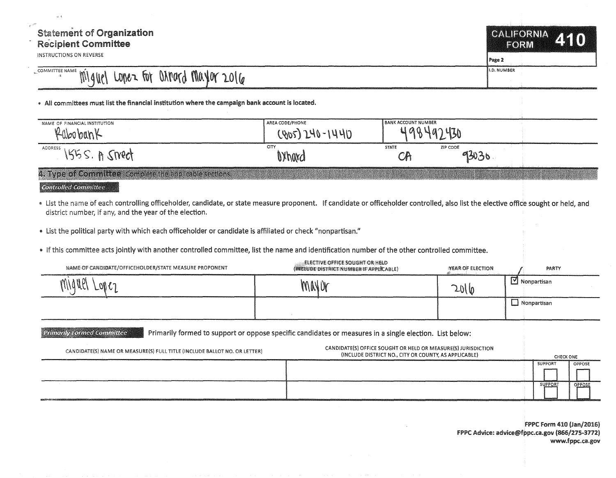## $\frac{1}{\xi}e^{i\theta\hat{X}}$ **Statement of Organization** Recipient Committee

INSTRUCTIONS ON REVERSE

**CALIFORNIA ZKIO FORM** 

Page 2

COMMITTEE NAME Lo~~,\_ fu\ ~~~O(O t\fk10( 1.0\~ !.O. NUMBER

• All committees must list the financial institution where the campaign bank account is located.

| NAME OF FINANCIAL INSTITUTION<br>$\ell$ abobank        | AREA CODE/PHONE<br>$(905)240 - 1440$ | <b>BANK ACCOUNT NUMBER</b> |                   |  |
|--------------------------------------------------------|--------------------------------------|----------------------------|-------------------|--|
| ADDRESS<br>$155S. B$ Smeet                             | CITY<br>0Xhard                       | <b>STATE</b>               | ZIP CODE<br>93030 |  |
| 4. Type of Committee Complete the applicable sections. |                                      |                            |                   |  |

 $\ell$  controlled Committee

. List the name of each controlling officeholder, candidate, or state measure proponent. If candidate or officeholder controlled, also list the elective office sought or held, and district number, if any, and the year of the election.

- " List the political party with which each officeholder or candidate is affiliated or check "nonpartisan."
- " If this committee acts jointly with another controlled committee, list the name and identification number of the other controlled committee.

| NAME OF CANDIDATE/OFFICEHOLDER/STATE MEASURE PROPONENT                    | ELECTIVE OFFICE SOUGHT OR HELD<br>(INCLUDE DISTRICT NUMBER IF APPLICABLE)                               | <b>YEAR OF ELECTION</b>                                                                                                |                         | PARTY   |                  |
|---------------------------------------------------------------------------|---------------------------------------------------------------------------------------------------------|------------------------------------------------------------------------------------------------------------------------|-------------------------|---------|------------------|
|                                                                           | MNUY                                                                                                    | 2016                                                                                                                   | $\boxed{2}$ Nonpartisan |         |                  |
|                                                                           |                                                                                                         |                                                                                                                        | $\Box$ Nonpartisan      |         |                  |
| <b>Primarily Formed Committee</b>                                         | Primarily formed to support or oppose specific candidates or measures in a single election. List below: |                                                                                                                        |                         |         |                  |
| CANDIDATE(S) NAME OR MEASURE(S) FULL TITLE (INCLUDE BALLOT NO. OR LETTER) |                                                                                                         | CANDIDATE(S) OFFICE SOUGHT OR HELD OR MEASURE(S) JURISDICTION<br>(INCLUDE DISTRICT NO., CITY OR COUNTY, AS APPLICABLE) |                         |         | <b>CHECK ONE</b> |
|                                                                           |                                                                                                         |                                                                                                                        |                         | SUPPORT | OPPOSE           |
|                                                                           |                                                                                                         |                                                                                                                        |                         | SUPPORT | OPPOSE           |
|                                                                           |                                                                                                         |                                                                                                                        |                         |         |                  |

FPPC Form 410 (Jan/2016) FPPC Advice: advice@fppc.ca.gov (866/275-3772) www.fppc.ca.gov